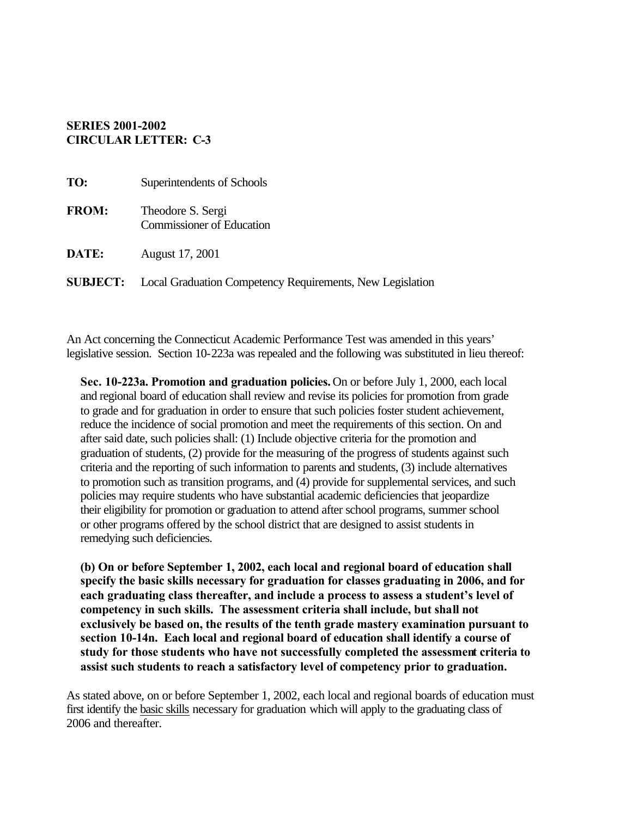### **SERIES 2001-2002 CIRCULAR LETTER: C-3**

| TO:          | Superintendents of Schools                                                |
|--------------|---------------------------------------------------------------------------|
| <b>FROM:</b> | Theodore S. Sergi<br><b>Commissioner of Education</b>                     |
| DATE:        | August 17, 2001                                                           |
|              | <b>SUBJECT:</b> Local Graduation Competency Requirements, New Legislation |

An Act concerning the Connecticut Academic Performance Test was amended in this years' legislative session. Section 10-223a was repealed and the following was substituted in lieu thereof:

**Sec. 10-223a. Promotion and graduation policies.** On or before July 1, 2000, each local and regional board of education shall review and revise its policies for promotion from grade to grade and for graduation in order to ensure that such policies foster student achievement, reduce the incidence of social promotion and meet the requirements of this section. On and after said date, such policies shall: (1) Include objective criteria for the promotion and graduation of students, (2) provide for the measuring of the progress of students against such criteria and the reporting of such information to parents and students, (3) include alternatives to promotion such as transition programs, and (4) provide for supplemental services, and such policies may require students who have substantial academic deficiencies that jeopardize their eligibility for promotion or graduation to attend after school programs, summer school or other programs offered by the school district that are designed to assist students in remedying such deficiencies.

**(b) On or before September 1, 2002, each local and regional board of education shall specify the basic skills necessary for graduation for classes graduating in 2006, and for each graduating class thereafter, and include a process to assess a student's level of competency in such skills. The assessment criteria shall include, but shall not exclusively be based on, the results of the tenth grade mastery examination pursuant to section 10-14n. Each local and regional board of education shall identify a course of study for those students who have not successfully completed the assessment criteria to assist such students to reach a satisfactory level of competency prior to graduation.** 

As stated above, on or before September 1, 2002, each local and regional boards of education must first identify the basic skills necessary for graduation which will apply to the graduating class of 2006 and thereafter.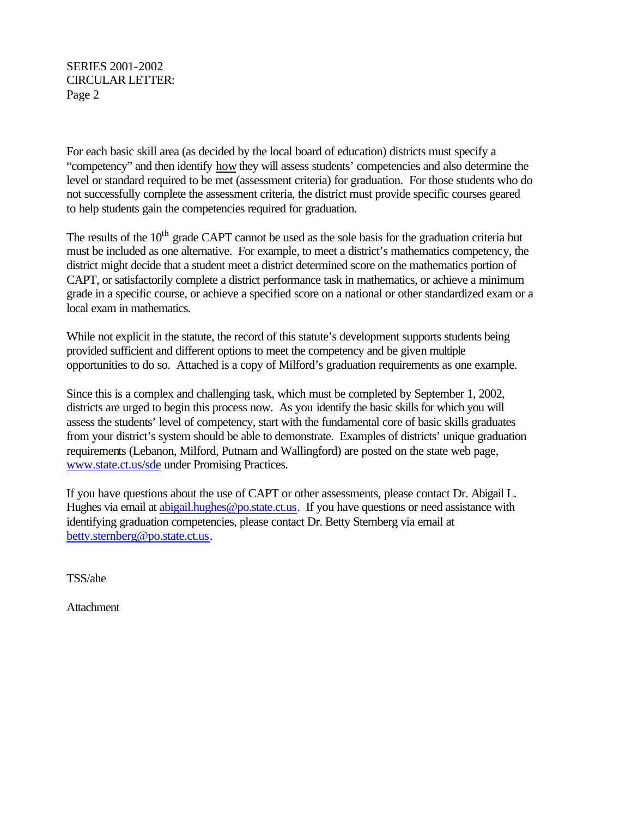SERIES 2001-2002 CIRCULAR LETTER: Page 2

For each basic skill area (as decided by the local board of education) districts must specify a "competency" and then identify how they will assess students' competencies and also determine the level or standard required to be met (assessment criteria) for graduation. For those students who do not successfully complete the assessment criteria, the district must provide specific courses geared to help students gain the competencies required for graduation.

The results of the  $10<sup>th</sup>$  grade CAPT cannot be used as the sole basis for the graduation criteria but must be included as one alternative. For example, to meet a district's mathematics competency, the district might decide that a student meet a district determined score on the mathematics portion of CAPT, or satisfactorily complete a district performance task in mathematics, or achieve a minimum grade in a specific course, or achieve a specified score on a national or other standardized exam or a local exam in mathematics.

While not explicit in the statute, the record of this statute's development supports students being provided sufficient and different options to meet the competency and be given multiple opportunities to do so. Attached is a copy of Milford's graduation requirements as one example.

Since this is a complex and challenging task, which must be completed by September 1, 2002, districts are urged to begin this process now. As you identify the basic skills for which you will assess the students' level of competency, start with the fundamental core of basic skills graduates from your district's system should be able to demonstrate. Examples of districts' unique graduation requirements (Lebanon, Milford, Putnam and Wallingford) are posted on the state web page, [www.state.ct.us/sde u](http://www.state.ct.us/sde/der/info/promisingpractices/index.htm)nder Promising Practices.

If you have questions about the use of CAPT or other assessments, please contact Dr. Abigail L. Hughes via email at [abigail.hughes@po.state.ct.us.](mailto:abigail.hughes@po.state.ct.us) If you have questions or need assistance with identifying graduation competencies, please contact Dr. Betty Sternberg via email at [betty.sternberg@po.state.ct.us.](mailto:betty.sternberg@po.state.ct.us)

TSS/ahe

**Attachment**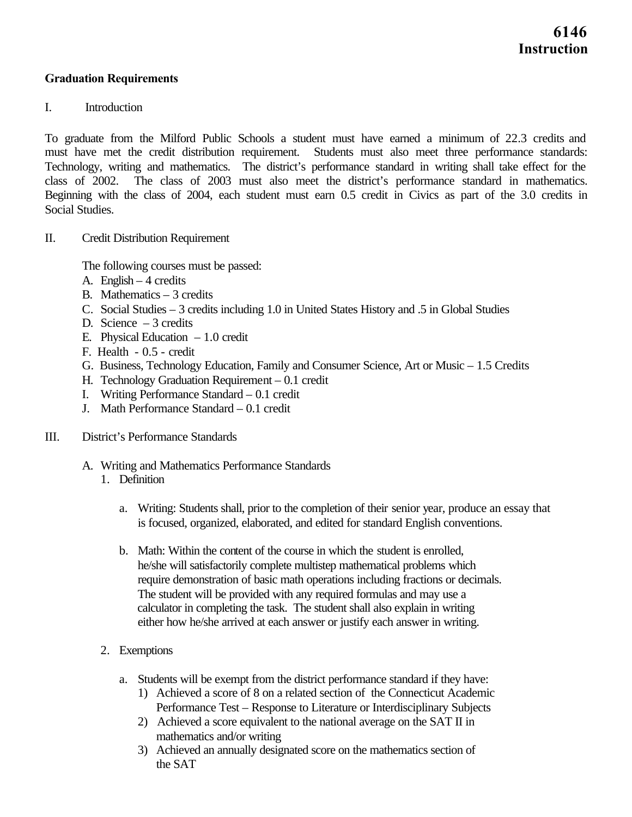### **Graduation Requirements**

#### I. Introduction

To graduate from the Milford Public Schools a student must have earned a minimum of 22.3 credits and must have met the credit distribution requirement. Students must also meet three performance standards: Technology, writing and mathematics. The district's performance standard in writing shall take effect for the class of 2002. The class of 2003 must also meet the district's performance standard in mathematics. Beginning with the class of 2004, each student must earn 0.5 credit in Civics as part of the 3.0 credits in Social Studies.

II. Credit Distribution Requirement

The following courses must be passed:

- A. English  $-4$  credits
- B. Mathematics 3 credits
- C. Social Studies 3 credits including 1.0 in United States History and .5 in Global Studies
- D. Science 3 credits
- E. Physical Education  $-1.0$  credit
- F. Health 0.5 credit
- G. Business, Technology Education, Family and Consumer Science, Art or Music 1.5 Credits
- H. Technology Graduation Requirement 0.1 credit
- I. Writing Performance Standard 0.1 credit
- J. Math Performance Standard 0.1 credit
- III. District's Performance Standards
	- A. Writing and Mathematics Performance Standards
		- 1. Definition
			- a. Writing: Students shall, prior to the completion of their senior year, produce an essay that is focused, organized, elaborated, and edited for standard English conventions.
			- b. Math: Within the content of the course in which the student is enrolled, he/she will satisfactorily complete multistep mathematical problems which require demonstration of basic math operations including fractions or decimals. The student will be provided with any required formulas and may use a calculator in completing the task. The student shall also explain in writing either how he/she arrived at each answer or justify each answer in writing.
		- 2. Exemptions
			- a. Students will be exempt from the district performance standard if they have:
				- 1) Achieved a score of 8 on a related section of the Connecticut Academic Performance Test – Response to Literature or Interdisciplinary Subjects
				- 2) Achieved a score equivalent to the national average on the SAT II in mathematics and/or writing
				- 3) Achieved an annually designated score on the mathematics section of the SAT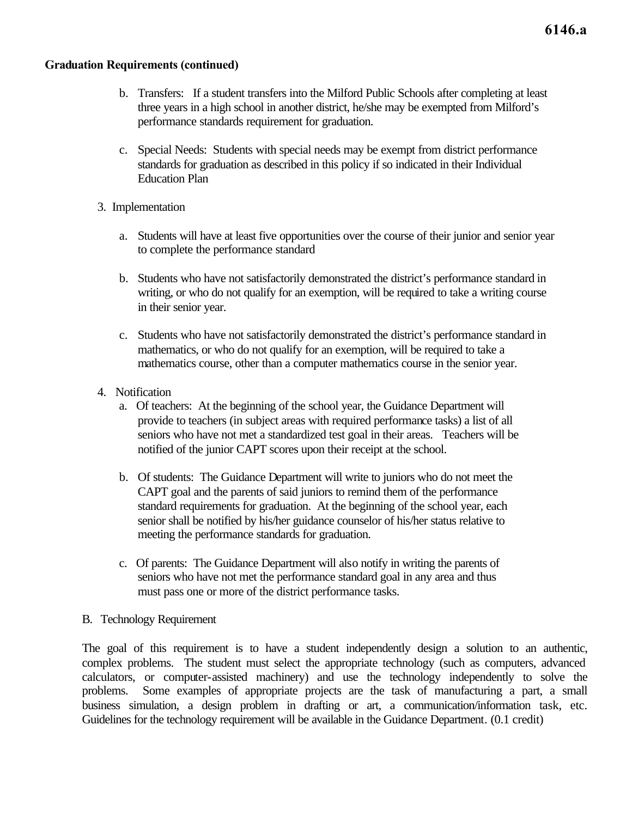### **Graduation Requirements (continued)**

- b. Transfers: If a student transfers into the Milford Public Schools after completing at least three years in a high school in another district, he/she may be exempted from Milford's performance standards requirement for graduation.
- c. Special Needs: Students with special needs may be exempt from district performance standards for graduation as described in this policy if so indicated in their Individual Education Plan
- 3. Implementation
	- a. Students will have at least five opportunities over the course of their junior and senior year to complete the performance standard
	- b. Students who have not satisfactorily demonstrated the district's performance standard in writing, or who do not qualify for an exemption, will be required to take a writing course in their senior year.
	- c. Students who have not satisfactorily demonstrated the district's performance standard in mathematics, or who do not qualify for an exemption, will be required to take a mathematics course, other than a computer mathematics course in the senior year.
- 4. Notification
	- a. Of teachers: At the beginning of the school year, the Guidance Department will provide to teachers (in subject areas with required performance tasks) a list of all seniors who have not met a standardized test goal in their areas. Teachers will be notified of the junior CAPT scores upon their receipt at the school.
	- b. Of students: The Guidance Department will write to juniors who do not meet the CAPT goal and the parents of said juniors to remind them of the performance standard requirements for graduation. At the beginning of the school year, each senior shall be notified by his/her guidance counselor of his/her status relative to meeting the performance standards for graduation.
	- c. Of parents: The Guidance Department will also notify in writing the parents of seniors who have not met the performance standard goal in any area and thus must pass one or more of the district performance tasks.
- B. Technology Requirement

The goal of this requirement is to have a student independently design a solution to an authentic, complex problems. The student must select the appropriate technology (such as computers, advanced calculators, or computer-assisted machinery) and use the technology independently to solve the problems. Some examples of appropriate projects are the task of manufacturing a part, a small business simulation, a design problem in drafting or art, a communication/information task, etc. Guidelines for the technology requirement will be available in the Guidance Department. (0.1 credit)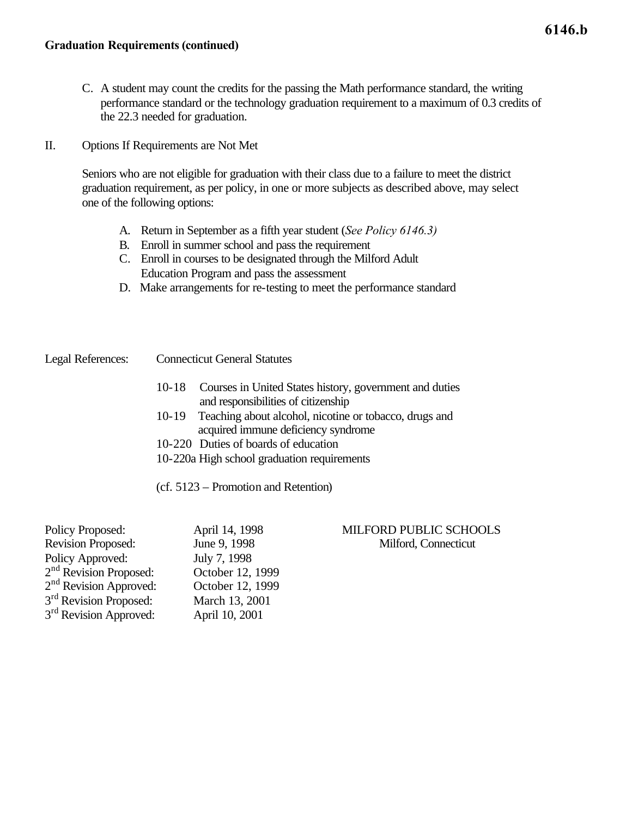- C. A student may count the credits for the passing the Math performance standard, the writing performance standard or the technology graduation requirement to a maximum of 0.3 credits of the 22.3 needed for graduation.
- II. Options If Requirements are Not Met

Seniors who are not eligible for graduation with their class due to a failure to meet the district graduation requirement, as per policy, in one or more subjects as described above, may select one of the following options:

- A. Return in September as a fifth year student (*See Policy 6146.3)*
- B. Enroll in summer school and pass the requirement
- C. Enroll in courses to be designated through the Milford Adult Education Program and pass the assessment
- D. Make arrangements for re-testing to meet the performance standard

Legal References: Connecticut General Statutes

- 10-18 Courses in United States history, government and duties and responsibilities of citizenship
- 10-19 Teaching about alcohol, nicotine or tobacco, drugs and acquired immune deficiency syndrome
- 10-220 Duties of boards of education
- 10-220a High school graduation requirements

(cf. 5123 – Promotion and Retention)

Policy Approved: July 7, 1998 2nd Revision Proposed: October 12, 1999 2nd Revision Approved: October 12, 1999 3<sup>rd</sup> Revision Proposed: March 13, 2001 3<sup>rd</sup> Revision Approved: April 10, 2001

### Policy Proposed: April 14, 1998 MILFORD PUBLIC SCHOOLS Revision Proposed: June 9, 1998 Milford, Connecticut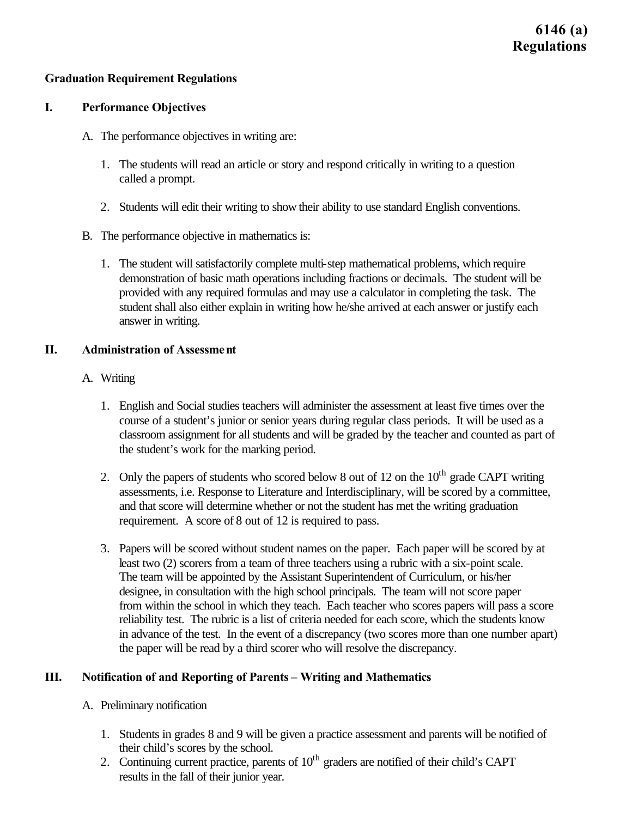## **Graduation Requirement Regulations**

### **I. Performance Objectives**

- A. The performance objectives in writing are:
	- 1. The students will read an article or story and respond critically in writing to a question called a prompt.
	- 2. Students will edit their writing to show their ability to use standard English conventions.
- B. The performance objective in mathematics is:
	- 1. The student will satisfactorily complete multi-step mathematical problems, which require demonstration of basic math operations including fractions or decimals. The student will be provided with any required formulas and may use a calculator in completing the task. The student shall also either explain in writing how he/she arrived at each answer or justify each answer in writing.

### **II. Administration of Assessment**

- A. Writing
	- 1. English and Social studies teachers will administer the assessment at least five times over the course of a student's junior or senior years during regular class periods. It will be used as a classroom assignment for all students and will be graded by the teacher and counted as part of the student's work for the marking period.
	- 2. Only the papers of students who scored below 8 out of 12 on the  $10<sup>th</sup>$  grade CAPT writing assessments, i.e. Response to Literature and Interdisciplinary, will be scored by a committee, and that score will determine whether or not the student has met the writing graduation requirement. A score of 8 out of 12 is required to pass.
	- 3. Papers will be scored without student names on the paper. Each paper will be scored by at least two (2) scorers from a team of three teachers using a rubric with a six-point scale. The team will be appointed by the Assistant Superintendent of Curriculum, or his/her designee, in consultation with the high school principals. The team will not score paper from within the school in which they teach. Each teacher who scores papers will pass a score reliability test. The rubric is a list of criteria needed for each score, which the students know in advance of the test. In the event of a discrepancy (two scores more than one number apart) the paper will be read by a third scorer who will resolve the discrepancy.

## **III. Notification of and Reporting of Parents – Writing and Mathematics**

- A. Preliminary notification
	- 1. Students in grades 8 and 9 will be given a practice assessment and parents will be notified of their child's scores by the school.
	- 2. Continuing current practice, parents of  $10<sup>th</sup>$  graders are notified of their child's CAPT results in the fall of their junior year.